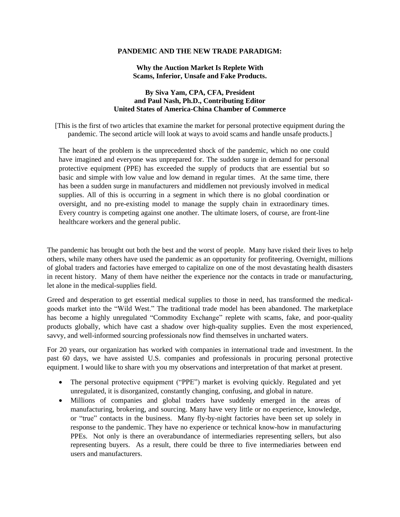## **PANDEMIC AND THE NEW TRADE PARADIGM:**

## **Why the Auction Market Is Replete With Scams, Inferior, Unsafe and Fake Products.**

## **By Siva Yam, CPA, CFA, President and Paul Nash, Ph.D., Contributing Editor United States of America-China Chamber of Commerce**

[This is the first of two articles that examine the market for personal protective equipment during the pandemic. The second article will look at ways to avoid scams and handle unsafe products.]

The heart of the problem is the unprecedented shock of the pandemic, which no one could have imagined and everyone was unprepared for. The sudden surge in demand for personal protective equipment (PPE) has exceeded the supply of products that are essential but so basic and simple with low value and low demand in regular times. At the same time, there has been a sudden surge in manufacturers and middlemen not previously involved in medical supplies. All of this is occurring in a segment in which there is no global coordination or oversight, and no pre-existing model to manage the supply chain in extraordinary times. Every country is competing against one another. The ultimate losers, of course, are front-line healthcare workers and the general public.

The pandemic has brought out both the best and the worst of people. Many have risked their lives to help others, while many others have used the pandemic as an opportunity for profiteering. Overnight, millions of global traders and factories have emerged to capitalize on one of the most devastating health disasters in recent history. Many of them have neither the experience nor the contacts in trade or manufacturing, let alone in the medical-supplies field.

Greed and desperation to get essential medical supplies to those in need, has transformed the medicalgoods market into the "Wild West." The traditional trade model has been abandoned. The marketplace has become a highly unregulated "Commodity Exchange" replete with scams, fake, and poor-quality products globally, which have cast a shadow over high-quality supplies. Even the most experienced, savvy, and well-informed sourcing professionals now find themselves in uncharted waters.

For 20 years, our organization has worked with companies in international trade and investment. In the past 60 days, we have assisted U.S. companies and professionals in procuring personal protective equipment. I would like to share with you my observations and interpretation of that market at present.

- The personal protective equipment ("PPE") market is evolving quickly. Regulated and yet unregulated, it is disorganized, constantly changing, confusing, and global in nature.
- Millions of companies and global traders have suddenly emerged in the areas of manufacturing, brokering, and sourcing. Many have very little or no experience, knowledge, or "true" contacts in the business. Many fly-by-night factories have been set up solely in response to the pandemic. They have no experience or technical know-how in manufacturing PPEs. Not only is there an overabundance of intermediaries representing sellers, but also representing buyers. As a result, there could be three to five intermediaries between end users and manufacturers.